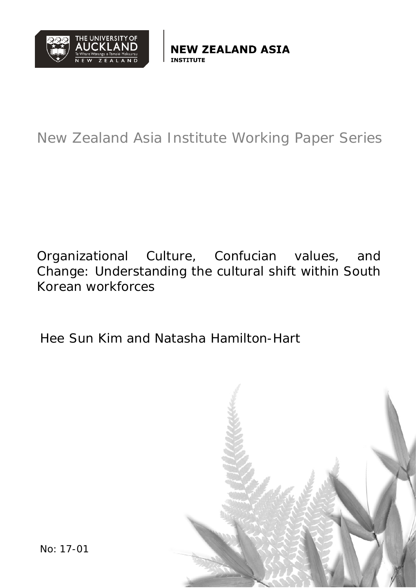

*I* ZEALAND ASIA

# New Zealand Asia Institute Working Paper Series

Organizational Culture, Confucian values, and Change: Understanding the cultural shift within South Korean workforces

Hee Sun Kim and Natasha Hamilton-Hart



No: 17-01 Page **1** of **38**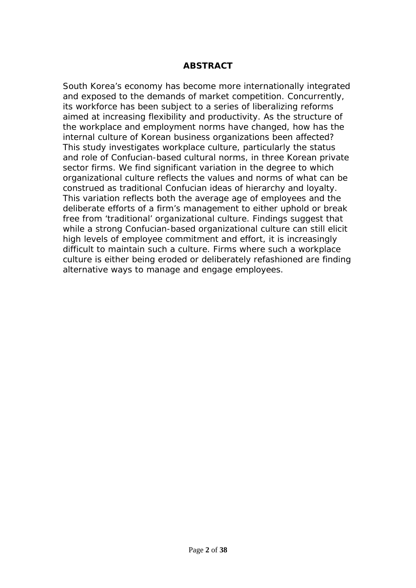#### **ABSTRACT**

South Korea's economy has become more internationally integrated and exposed to the demands of market competition. Concurrently, its workforce has been subject to a series of liberalizing reforms aimed at increasing flexibility and productivity. As the structure of the workplace and employment norms have changed, how has the internal culture of Korean business organizations been affected? This study investigates workplace culture, particularly the status and role of Confucian-based cultural norms, in three Korean private sector firms. We find significant variation in the degree to which organizational culture reflects the values and norms of what can be construed as traditional Confucian ideas of hierarchy and loyalty. This variation reflects both the average age of employees and the deliberate efforts of a firm's management to either uphold or break free from 'traditional' organizational culture. Findings suggest that while a strong Confucian-based organizational culture can still elicit high levels of employee commitment and effort, it is increasingly difficult to maintain such a culture. Firms where such a workplace culture is either being eroded or deliberately refashioned are finding alternative ways to manage and engage employees.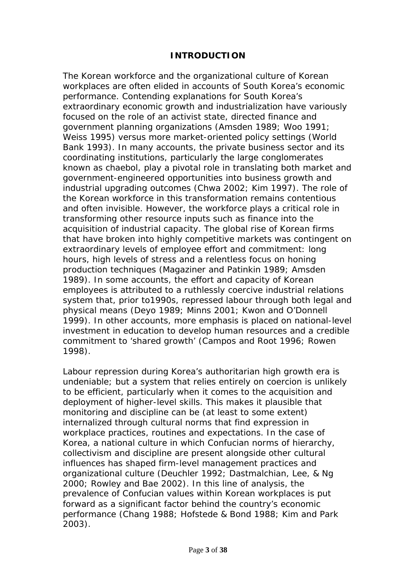## **INTRODUCTION**

The Korean workforce and the organizational culture of Korean workplaces are often elided in accounts of South Korea's economic performance. Contending explanations for South Korea's extraordinary economic growth and industrialization have variously focused on the role of an activist state, directed finance and government planning organizations (Amsden 1989; Woo 1991; Weiss 1995) versus more market-oriented policy settings (World Bank 1993). In many accounts, the private business sector and its coordinating institutions, particularly the large conglomerates known as *chaebol*, play a pivotal role in translating both market and government-engineered opportunities into business growth and industrial upgrading outcomes (Chwa 2002; Kim 1997). The role of the Korean workforce in this transformation remains contentious and often invisible. However, the workforce plays a critical role in transforming other resource inputs such as finance into the acquisition of industrial capacity. The global rise of Korean firms that have broken into highly competitive markets was contingent on extraordinary levels of employee effort and commitment: long hours, high levels of stress and a relentless focus on honing production techniques (Magaziner and Patinkin 1989; Amsden 1989). In some accounts, the effort and capacity of Korean employees is attributed to a ruthlessly coercive industrial relations system that, prior to1990s, repressed labour through both legal and physical means (Deyo 1989; Minns 2001; Kwon and O'Donnell 1999). In other accounts, more emphasis is placed on national-level investment in education to develop human resources and a credible commitment to 'shared growth' (Campos and Root 1996; Rowen 1998).

Labour repression during Korea's authoritarian high growth era is undeniable; but a system that relies entirely on coercion is unlikely to be efficient, particularly when it comes to the acquisition and deployment of higher-level skills. This makes it plausible that monitoring and discipline can be (at least to some extent) internalized through cultural norms that find expression in workplace practices, routines and expectations. In the case of Korea, a national culture in which Confucian norms of hierarchy, collectivism and discipline are present alongside other cultural influences has shaped firm-level management practices and organizational culture (Deuchler 1992; Dastmalchian, Lee, & Ng 2000; Rowley and Bae 2002). In this line of analysis, the prevalence of Confucian values within Korean workplaces is put forward as a significant factor behind the country's economic performance (Chang 1988; Hofstede & Bond 1988; Kim and Park 2003).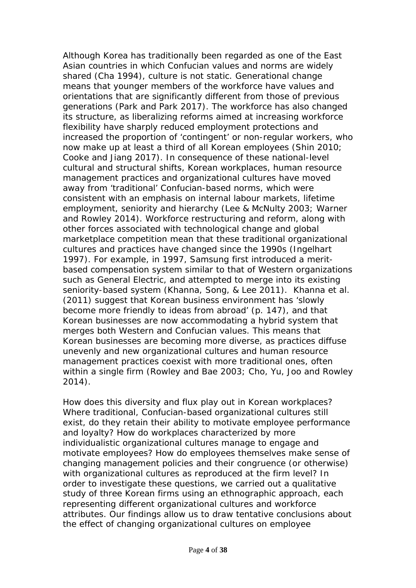Although Korea has traditionally been regarded as one of the East Asian countries in which Confucian values and norms are widely shared (Cha 1994), culture is not static. Generational change means that younger members of the workforce have values and orientations that are significantly different from those of previous generations (Park and Park 2017). The workforce has also changed its structure, as liberalizing reforms aimed at increasing workforce flexibility have sharply reduced employment protections and increased the proportion of 'contingent' or non-regular workers, who now make up at least a third of all Korean employees (Shin 2010; Cooke and Jiang 2017). In consequence of these national-level cultural and structural shifts, Korean workplaces, human resource management practices and organizational cultures have moved away from 'traditional' Confucian-based norms, which were consistent with an emphasis on internal labour markets, lifetime employment, seniority and hierarchy (Lee & McNulty 2003; Warner and Rowley 2014). Workforce restructuring and reform, along with other forces associated with technological change and global marketplace competition mean that these traditional organizational cultures and practices have changed since the 1990s (Ingelhart 1997). For example, in 1997, Samsung first introduced a meritbased compensation system similar to that of Western organizations such as General Electric, and attempted to merge into its existing seniority-based system (Khanna, Song, & Lee 2011). Khanna et al. (2011) suggest that Korean business environment has 'slowly become more friendly to ideas from abroad' (p. 147), and that Korean businesses are now accommodating a hybrid system that merges both Western and Confucian values. This means that Korean businesses are becoming more diverse, as practices diffuse unevenly and new organizational cultures and human resource management practices coexist with more traditional ones, often within a single firm (Rowley and Bae 2003; Cho, Yu, Joo and Rowley 2014).

How does this diversity and flux play out in Korean workplaces? Where traditional, Confucian-based organizational cultures still exist, do they retain their ability to motivate employee performance and loyalty? How do workplaces characterized by more individualistic organizational cultures manage to engage and motivate employees? How do employees themselves make sense of changing management policies and their congruence (or otherwise) with organizational cultures as reproduced at the firm level? In order to investigate these questions, we carried out a qualitative study of three Korean firms using an ethnographic approach, each representing different organizational cultures and workforce attributes. Our findings allow us to draw tentative conclusions about the effect of changing organizational cultures on employee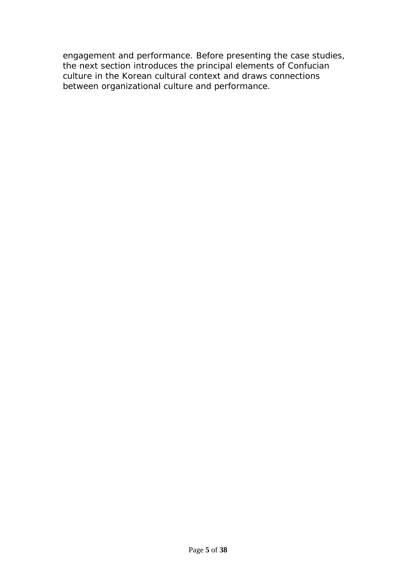engagement and performance. Before presenting the case studies, the next section introduces the principal elements of Confucian culture in the Korean cultural context and draws connections between organizational culture and performance.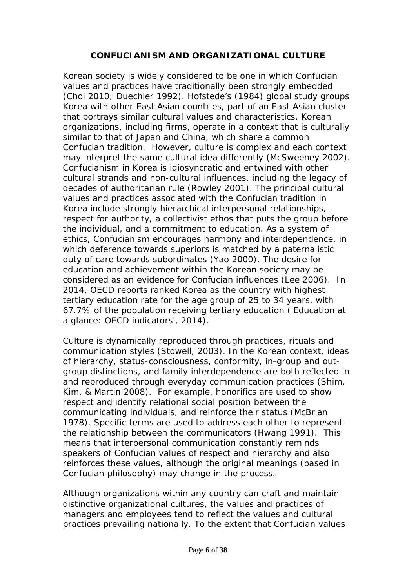## **CONFUCIANISM AND ORGANIZATIONAL CULTURE**

Korean society is widely considered to be one in which Confucian values and practices have traditionally been strongly embedded (Choi 2010; Duechler 1992). Hofstede's (1984) global study groups Korea with other East Asian countries, part of an East Asian cluster that portrays similar cultural values and characteristics. Korean organizations, including firms, operate in a context that is culturally similar to that of Japan and China, which share a common Confucian tradition. However, culture is complex and each context may interpret the same cultural idea differently (McSweeney 2002). Confucianism in Korea is idiosyncratic and entwined with other cultural strands and non-cultural influences, including the legacy of decades of authoritarian rule (Rowley 2001). The principal cultural values and practices associated with the Confucian tradition in Korea include strongly hierarchical interpersonal relationships, respect for authority, a collectivist ethos that puts the group before the individual, and a commitment to education. As a system of ethics, Confucianism encourages harmony and interdependence, in which deference towards superiors is matched by a paternalistic duty of care towards subordinates (Yao 2000). The desire for education and achievement within the Korean society may be considered as an evidence for Confucian influences (Lee 2006). In 2014, OECD reports ranked Korea as the country with highest tertiary education rate for the age group of 25 to 34 years, with 67.7% of the population receiving tertiary education ('Education at a glance: OECD indicators', 2014).

Culture is dynamically reproduced through practices, rituals and communication styles (Stowell, 2003). In the Korean context, ideas of hierarchy, status-consciousness, conformity, in-group and outgroup distinctions, and family interdependence are both reflected in and reproduced through everyday communication practices (Shim, Kim, & Martin 2008). For example, honorifics are used to show respect and identify relational social position between the communicating individuals, and reinforce their status (McBrian 1978). Specific terms are used to address each other to represent the relationship between the communicators (Hwang 1991). This means that interpersonal communication constantly reminds speakers of Confucian values of respect and hierarchy and also reinforces these values, although the original meanings (based in Confucian philosophy) may change in the process.

Although organizations within any country can craft and maintain distinctive organizational cultures, the values and practices of managers and employees tend to reflect the values and cultural practices prevailing nationally. To the extent that Confucian values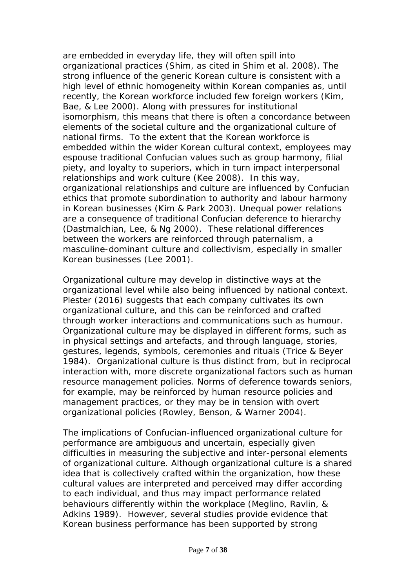are embedded in everyday life, they will often spill into organizational practices (Shim, as cited in Shim et al. 2008). The strong influence of the generic Korean culture is consistent with a high level of ethnic homogeneity within Korean companies as, until recently, the Korean workforce included few foreign workers (Kim, Bae, & Lee 2000). Along with pressures for institutional isomorphism, this means that there is often a concordance between elements of the societal culture and the organizational culture of national firms. To the extent that the Korean workforce is embedded within the wider Korean cultural context, employees may espouse traditional Confucian values such as group harmony, filial piety, and loyalty to superiors, which in turn impact interpersonal relationships and work culture (Kee 2008). In this way, organizational relationships and culture are influenced by Confucian ethics that promote subordination to authority and labour harmony in Korean businesses (Kim & Park 2003). Unequal power relations are a consequence of traditional Confucian deference to hierarchy (Dastmalchian, Lee, & Ng 2000). These relational differences between the workers are reinforced through paternalism, a masculine-dominant culture and collectivism, especially in smaller Korean businesses (Lee 2001).

Organizational culture may develop in distinctive ways at the organizational level while also being influenced by national context. Plester (2016) suggests that each company cultivates its own organizational culture, and this can be reinforced and crafted through worker interactions and communications such as humour. Organizational culture may be displayed in different forms, such as in physical settings and artefacts, and through language, stories, gestures, legends, symbols, ceremonies and rituals (Trice & Beyer 1984). Organizational culture is thus distinct from, but in reciprocal interaction with, more discrete organizational factors such as human resource management policies. Norms of deference towards seniors, for example, may be reinforced by human resource policies and management practices, or they may be in tension with overt organizational policies (Rowley, Benson, & Warner 2004).

The implications of Confucian-influenced organizational culture for performance are ambiguous and uncertain, especially given difficulties in measuring the subjective and inter-personal elements of organizational culture. Although organizational culture is a shared idea that is collectively crafted within the organization, how these cultural values are interpreted and perceived may differ according to each individual, and thus may impact performance related behaviours differently within the workplace (Meglino, Ravlin, & Adkins 1989). However, several studies provide evidence that Korean business performance has been supported by strong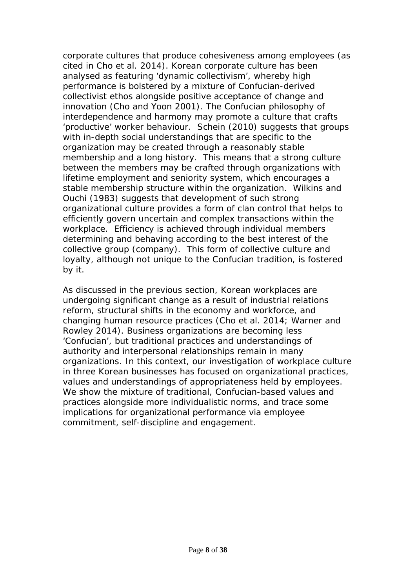corporate cultures that produce cohesiveness among employees (as cited in Cho et al. 2014). Korean corporate culture has been analysed as featuring 'dynamic collectivism', whereby high performance is bolstered by a mixture of Confucian-derived collectivist ethos alongside positive acceptance of change and innovation (Cho and Yoon 2001). The Confucian philosophy of interdependence and harmony may promote a culture that crafts 'productive' worker behaviour. Schein (2010) suggests that groups with in-depth social understandings that are specific to the organization may be created through a reasonably stable membership and a long history. This means that a strong culture between the members may be crafted through organizations with lifetime employment and seniority system, which encourages a stable membership structure within the organization. Wilkins and Ouchi (1983) suggests that development of such strong organizational culture provides a form of clan control that helps to efficiently govern uncertain and complex transactions within the workplace. Efficiency is achieved through individual members determining and behaving according to the best interest of the collective group (company). This form of collective culture and loyalty, although not unique to the Confucian tradition, is fostered by it.

As discussed in the previous section, Korean workplaces are undergoing significant change as a result of industrial relations reform, structural shifts in the economy and workforce, and changing human resource practices (Cho et al. 2014; Warner and Rowley 2014). Business organizations are becoming less 'Confucian', but traditional practices and understandings of authority and interpersonal relationships remain in many organizations. In this context, our investigation of workplace culture in three Korean businesses has focused on organizational practices, values and understandings of appropriateness held by employees. We show the mixture of traditional, Confucian-based values and practices alongside more individualistic norms, and trace some implications for organizational performance via employee commitment, self-discipline and engagement.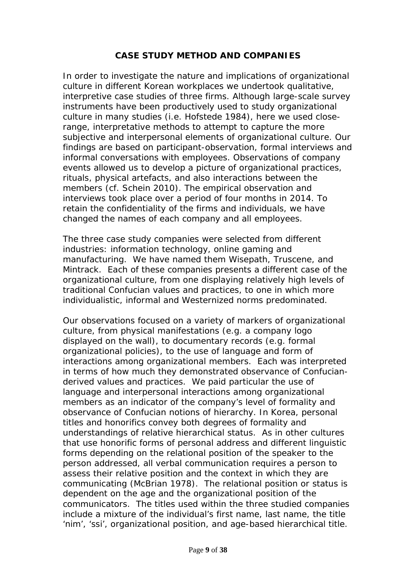## **CASE STUDY METHOD AND COMPANIES**

In order to investigate the nature and implications of organizational culture in different Korean workplaces we undertook qualitative, interpretive case studies of three firms. Although large-scale survey instruments have been productively used to study organizational culture in many studies (i.e. Hofstede 1984), here we used closerange, interpretative methods to attempt to capture the more subjective and interpersonal elements of organizational culture. Our findings are based on participant-observation, formal interviews and informal conversations with employees. Observations of company events allowed us to develop a picture of organizational practices, rituals, physical artefacts, and also interactions between the members (cf. Schein 2010). The empirical observation and interviews took place over a period of four months in 2014. To retain the confidentiality of the firms and individuals, we have changed the names of each company and all employees.

The three case study companies were selected from different industries: information technology, online gaming and manufacturing. We have named them Wisepath, Truscene, and Mintrack. Each of these companies presents a different case of the organizational culture, from one displaying relatively high levels of traditional Confucian values and practices, to one in which more individualistic, informal and Westernized norms predominated.

Our observations focused on a variety of markers of organizational culture, from physical manifestations (e.g. a company logo displayed on the wall), to documentary records (e.g. formal organizational policies), to the use of language and form of interactions among organizational members. Each was interpreted in terms of how much they demonstrated observance of Confucianderived values and practices. We paid particular the use of language and interpersonal interactions among organizational members as an indicator of the company's level of formality and observance of Confucian notions of hierarchy. In Korea, personal titles and honorifics convey both degrees of formality and understandings of relative hierarchical status. As in other cultures that use honorific forms of personal address and different linguistic forms depending on the relational position of the speaker to the person addressed, all verbal communication requires a person to assess their relative position and the context in which they are communicating (McBrian 1978). The relational position or status is dependent on the age and the organizational position of the communicators. The titles used within the three studied companies include a mixture of the individual's first name, last name, the title 'nim', 'ssi', organizational position, and age-based hierarchical title.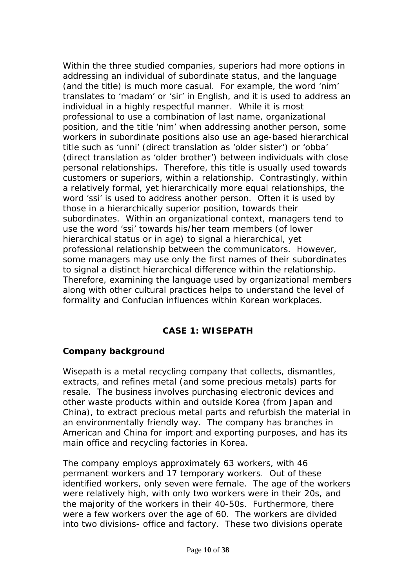Within the three studied companies, superiors had more options in addressing an individual of subordinate status, and the language (and the title) is much more casual. For example, the word 'nim' translates to 'madam' or 'sir' in English, and it is used to address an individual in a highly respectful manner. While it is most professional to use a combination of last name, organizational position, and the title 'nim' when addressing another person, some workers in subordinate positions also use an age-based hierarchical title such as 'unni' (direct translation as 'older sister') or 'obba' (direct translation as 'older brother') between individuals with close personal relationships. Therefore, this title is usually used towards customers or superiors, within a relationship. Contrastingly, within a relatively formal, yet hierarchically more equal relationships, the word 'ssi' is used to address another person. Often it is used by those in a hierarchically superior position, towards their subordinates. Within an organizational context, managers tend to use the word 'ssi' towards his/her team members (of lower hierarchical status or in age) to signal a hierarchical, yet professional relationship between the communicators. However, some managers may use only the first names of their subordinates to signal a distinct hierarchical difference within the relationship. Therefore, examining the language used by organizational members along with other cultural practices helps to understand the level of formality and Confucian influences within Korean workplaces.

# **CASE 1: WISEPATH**

#### **Company background**

Wisepath is a metal recycling company that collects, dismantles, extracts, and refines metal (and some precious metals) parts for resale. The business involves purchasing electronic devices and other waste products within and outside Korea (from Japan and China), to extract precious metal parts and refurbish the material in an environmentally friendly way. The company has branches in American and China for import and exporting purposes, and has its main office and recycling factories in Korea.

The company employs approximately 63 workers, with 46 permanent workers and 17 temporary workers. Out of these identified workers, only seven were female. The age of the workers were relatively high, with only two workers were in their 20s, and the majority of the workers in their 40-50s. Furthermore, there were a few workers over the age of 60. The workers are divided into two divisions- office and factory. These two divisions operate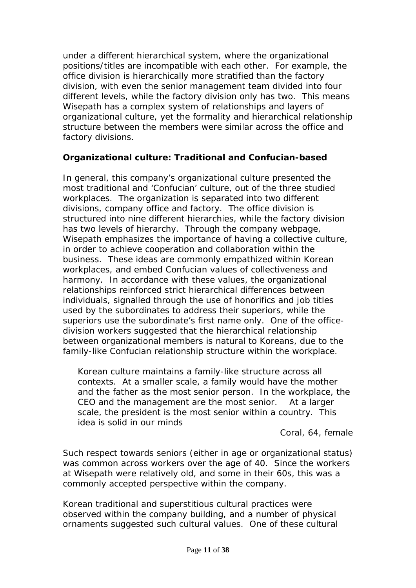under a different hierarchical system, where the organizational positions/titles are incompatible with each other. For example, the office division is hierarchically more stratified than the factory division, with even the senior management team divided into four different levels, while the factory division only has two. This means Wisepath has a complex system of relationships and layers of organizational culture, yet the formality and hierarchical relationship structure between the members were similar across the office and factory divisions.

# **Organizational culture: Traditional and Confucian-based**

In general, this company's organizational culture presented the most traditional and 'Confucian' culture, out of the three studied workplaces. The organization is separated into two different divisions, company office and factory. The office division is structured into nine different hierarchies, while the factory division has two levels of hierarchy. Through the company webpage, Wisepath emphasizes the importance of having a collective culture, in order to achieve cooperation and collaboration within the business. These ideas are commonly empathized within Korean workplaces, and embed Confucian values of collectiveness and harmony. In accordance with these values, the organizational relationships reinforced strict hierarchical differences between individuals, signalled through the use of honorifics and job titles used by the subordinates to address their superiors, while the superiors use the subordinate's first name only. One of the officedivision workers suggested that the hierarchical relationship between organizational members is natural to Koreans, due to the family-like Confucian relationship structure within the workplace.

*Korean culture maintains a family-like structure across all contexts. At a smaller scale, a family would have the mother and the father as the most senior person. In the workplace, the CEO and the management are the most senior. At a larger scale, the president is the most senior within a country. This idea is solid in our minds* 

Coral, 64, female

Such respect towards seniors (either in age or organizational status) was common across workers over the age of 40. Since the workers at Wisepath were relatively old, and some in their 60s, this was a commonly accepted perspective within the company.

Korean traditional and superstitious cultural practices were observed within the company building, and a number of physical ornaments suggested such cultural values. One of these cultural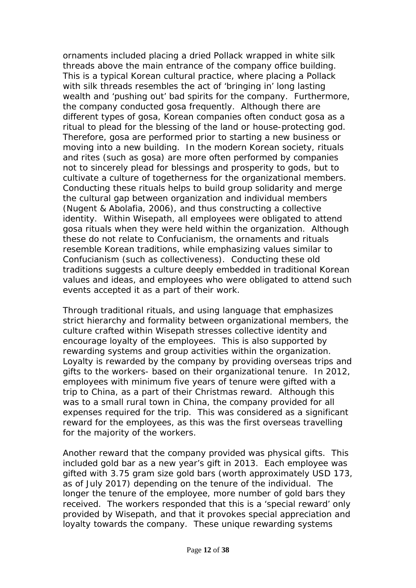ornaments included placing a dried Pollack wrapped in white silk threads above the main entrance of the company office building. This is a typical Korean cultural practice, where placing a Pollack with silk threads resembles the act of 'bringing in' long lasting wealth and 'pushing out' bad spirits for the company. Furthermore, the company conducted *gosa* frequently. Although there are different types of *gosa*, Korean companies often conduct *gosa* as a ritual to plead for the blessing of the land or house-protecting god. Therefore, *gosa* are performed prior to starting a new business or moving into a new building. In the modern Korean society, rituals and rites (such as *gosa)* are more often performed by companies not to sincerely plead for blessings and prosperity to gods, but to cultivate a culture of togetherness for the organizational members. Conducting these rituals helps to build group solidarity and merge the cultural gap between organization and individual members (Nugent & Abolafia, 2006), and thus constructing a collective identity. Within Wisepath, all employees were obligated to attend *gosa* rituals when they were held within the organization. Although these do not relate to Confucianism, the ornaments and rituals resemble Korean traditions, while emphasizing values similar to Confucianism (such as collectiveness). Conducting these old traditions suggests a culture deeply embedded in traditional Korean values and ideas, and employees who were obligated to attend such events accepted it as a part of their work.

Through traditional rituals, and using language that emphasizes strict hierarchy and formality between organizational members, the culture crafted within Wisepath stresses collective identity and encourage loyalty of the employees. This is also supported by rewarding systems and group activities within the organization. Loyalty is rewarded by the company by providing overseas trips and gifts to the workers- based on their organizational tenure. In 2012, employees with minimum five years of tenure were gifted with a trip to China, as a part of their Christmas reward. Although this was to a small rural town in China, the company provided for all expenses required for the trip. This was considered as a significant reward for the employees, as this was the first overseas travelling for the majority of the workers.

Another reward that the company provided was physical gifts. This included gold bar as a new year's gift in 2013. Each employee was gifted with 3.75 gram size gold bars (worth approximately USD 173, as of July 2017) depending on the tenure of the individual. The longer the tenure of the employee, more number of gold bars they received. The workers responded that this is a '*special reward'* only provided by Wisepath, and that it provokes special appreciation and loyalty towards the company. These unique rewarding systems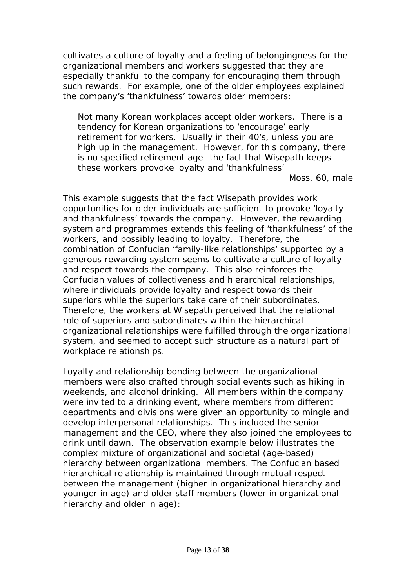cultivates a culture of loyalty and a feeling of belongingness for the organizational members and workers suggested that they are especially thankful to the company for encouraging them through such rewards. For example, one of the older employees explained the company's '*thankfulness'* towards older members:

*Not many Korean workplaces accept older workers. There is a tendency for Korean organizations to 'encourage' early retirement for workers. Usually in their 40's, unless you are high up in the management. However, for this company, there is no specified retirement age- the fact that Wisepath keeps these workers provoke loyalty and 'thankfulness'*

Moss, 60, male

This example suggests that the fact Wisepath provides work opportunities for older individuals are sufficient to provoke '*loyalty and thankfulness'* towards the company. However, the rewarding system and programmes extends this feeling of '*thankfulness'* of the workers, and possibly leading to loyalty. Therefore, the combination of Confucian '*family-like relationships*' supported by a generous rewarding system seems to cultivate a culture of loyalty and respect towards the company. This also reinforces the Confucian values of collectiveness and hierarchical relationships, where individuals provide loyalty and respect towards their superiors while the superiors take care of their subordinates. Therefore, the workers at Wisepath perceived that the relational role of superiors and subordinates within the hierarchical organizational relationships were fulfilled through the organizational system, and seemed to accept such structure as a natural part of workplace relationships.

Loyalty and relationship bonding between the organizational members were also crafted through social events such as hiking in weekends, and alcohol drinking. All members within the company were invited to a drinking event, where members from different departments and divisions were given an opportunity to mingle and develop interpersonal relationships. This included the senior management and the CEO, where they also joined the employees to drink until dawn. The observation example below illustrates the complex mixture of organizational and societal (age-based) hierarchy between organizational members. The Confucian based hierarchical relationship is maintained through mutual respect between the management (higher in organizational hierarchy and younger in age) and older staff members (lower in organizational hierarchy and older in age):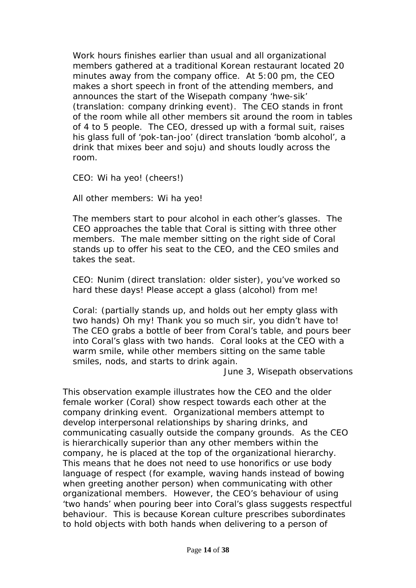*Work hours finishes earlier than usual and all organizational members gathered at a traditional Korean restaurant located 20 minutes away from the company office. At 5:00 pm, the CEO makes a short speech in front of the attending members, and announces the start of the Wisepath company 'hwe-sik' (translation: company drinking event). The CEO stands in front of the room while all other members sit around the room in tables of 4 to 5 people. The CEO, dressed up with a formal suit, raises his glass full of 'pok-tan-joo' (direct translation 'bomb alcohol', a drink that mixes beer and soju) and shouts loudly across the room.*

*CEO: Wi ha yeo! (cheers!)*

*All other members: Wi ha yeo!*

*The members start to pour alcohol in each other's glasses. The CEO approaches the table that Coral is sitting with three other members. The male member sitting on the right side of Coral stands up to offer his seat to the CEO, and the CEO smiles and takes the seat.*

*CEO: Nunim (direct translation: older sister), you've worked so hard these days! Please accept a glass (alcohol) from me!*

*Coral: (partially stands up, and holds out her empty glass with two hands) Oh my! Thank you so much sir, you didn't have to! The CEO grabs a bottle of beer from Coral's table, and pours beer into Coral's glass with two hands. Coral looks at the CEO with a warm smile, while other members sitting on the same table smiles, nods, and starts to drink again.*

June 3, Wisepath observations

This observation example illustrates how the CEO and the older female worker (Coral) show respect towards each other at the company drinking event. Organizational members attempt to develop interpersonal relationships by sharing drinks, and communicating casually outside the company grounds. As the CEO is hierarchically superior than any other members within the company, he is placed at the top of the organizational hierarchy. This means that he does not need to use honorifics or use body language of respect (for example, waving hands instead of bowing when greeting another person) when communicating with other organizational members. However, the CEO's behaviour of using '*two hands'* when pouring beer into Coral's glass suggests respectful behaviour. This is because Korean culture prescribes subordinates to hold objects with both hands when delivering to a person of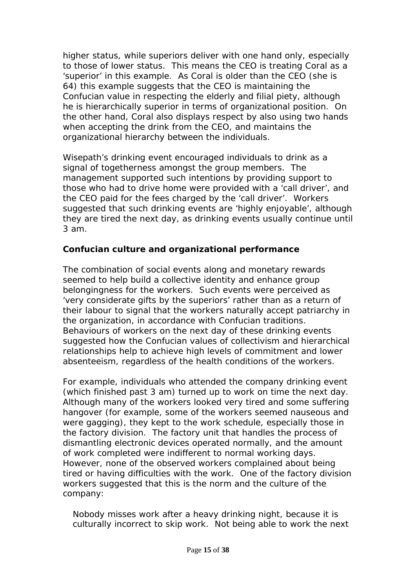higher status, while superiors deliver with one hand only, especially to those of lower status. This means the CEO is treating Coral as a 'superior' in this example. As Coral is older than the CEO (she is 64) this example suggests that the CEO is maintaining the Confucian value in respecting the elderly and filial piety, although he is hierarchically superior in terms of organizational position. On the other hand, Coral also displays respect by also using two hands when accepting the drink from the CEO, and maintains the organizational hierarchy between the individuals.

Wisepath's drinking event encouraged individuals to drink as a signal of togetherness amongst the group members. The management supported such intentions by providing support to those who had to drive home were provided with a 'call driver', and the CEO paid for the fees charged by the 'call driver'. Workers suggested that such drinking events are '*highly enjoyable',* although they are tired the next day, as drinking events usually continue until 3 am.

## **Confucian culture and organizational performance**

The combination of social events along and monetary rewards seemed to help build a collective identity and enhance group belongingness for the workers. Such events were perceived as '*very considerate gifts by the superiors*' rather than as a return of their labour to signal that the workers naturally accept patriarchy in the organization, in accordance with Confucian traditions. Behaviours of workers on the next day of these drinking events suggested how the Confucian values of collectivism and hierarchical relationships help to achieve high levels of commitment and lower absenteeism, regardless of the health conditions of the workers.

For example, individuals who attended the company drinking event (which finished past 3 am) turned up to work on time the next day. Although many of the workers looked very tired and some suffering hangover (for example, some of the workers seemed nauseous and were gagging), they kept to the work schedule, especially those in the factory division. The factory unit that handles the process of dismantling electronic devices operated normally, and the amount of work completed were indifferent to normal working days. However, none of the observed workers complained about being tired or having difficulties with the work. One of the factory division workers suggested that this is the norm and the culture of the company:

*Nobody misses work after a heavy drinking night, because it is culturally incorrect to skip work. Not being able to work the next*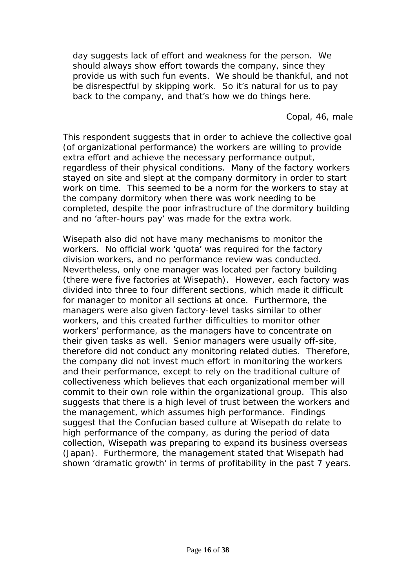*day suggests lack of effort and weakness for the person. We should always show effort towards the company, since they provide us with such fun events. We should be thankful, and not be disrespectful by skipping work. So it's natural for us to pay back to the company, and that's how we do things here.*

Copal, 46, male

This respondent suggests that in order to achieve the collective goal (of organizational performance) the workers are willing to provide extra effort and achieve the necessary performance output, regardless of their physical conditions. Many of the factory workers stayed on site and slept at the company dormitory in order to start work on time. This seemed to be a norm for the workers to stay at the company dormitory when there was work needing to be completed, despite the poor infrastructure of the dormitory building and no 'after-hours pay' was made for the extra work.

Wisepath also did not have many mechanisms to monitor the workers. No official work 'quota' was required for the factory division workers, and no performance review was conducted. Nevertheless, only one manager was located per factory building (there were five factories at Wisepath). However, each factory was divided into three to four different sections, which made it difficult for manager to monitor all sections at once. Furthermore, the managers were also given factory-level tasks similar to other workers, and this created further difficulties to monitor other workers' performance, as the managers have to concentrate on their given tasks as well. Senior managers were usually off-site, therefore did not conduct any monitoring related duties. Therefore, the company did not invest much effort in monitoring the workers and their performance, except to rely on the traditional culture of collectiveness which believes that each organizational member will commit to their own role within the organizational group. This also suggests that there is a high level of trust between the workers and the management, which assumes high performance. Findings suggest that the Confucian based culture at Wisepath do relate to high performance of the company, as during the period of data collection, Wisepath was preparing to expand its business overseas (Japan). Furthermore, the management stated that Wisepath had shown '*dramatic growth'* in terms of profitability in the past 7 years.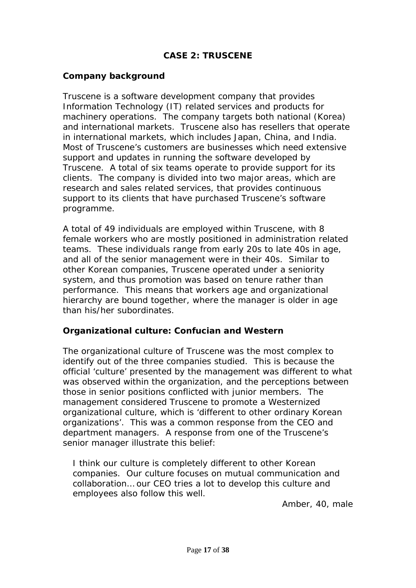# **CASE 2: TRUSCENE**

#### **Company background**

Truscene is a software development company that provides Information Technology (IT) related services and products for machinery operations. The company targets both national (Korea) and international markets. Truscene also has resellers that operate in international markets, which includes Japan, China, and India. Most of Truscene's customers are businesses which need extensive support and updates in running the software developed by Truscene. A total of six teams operate to provide support for its clients. The company is divided into two major areas, which are research and sales related services, that provides continuous support to its clients that have purchased Truscene's software programme.

A total of 49 individuals are employed within Truscene, with 8 female workers who are mostly positioned in administration related teams. These individuals range from early 20s to late 40s in age, and all of the senior management were in their 40s. Similar to other Korean companies, Truscene operated under a seniority system, and thus promotion was based on tenure rather than performance. This means that workers age and organizational hierarchy are bound together, where the manager is older in age than his/her subordinates.

#### **Organizational culture: Confucian and Western**

The organizational culture of Truscene was the most complex to identify out of the three companies studied. This is because the official 'culture' presented by the management was different to what was observed within the organization, and the perceptions between those in senior positions conflicted with junior members. The management considered Truscene to promote a Westernized organizational culture, which is '*different to other ordinary Korean organizations'.* This was a common response from the CEO and department managers. A response from one of the Truscene's senior manager illustrate this belief:

*I think our culture is completely different to other Korean companies. Our culture focuses on mutual communication and collaboration… our CEO tries a lot to develop this culture and employees also follow this well.*

Amber, 40, male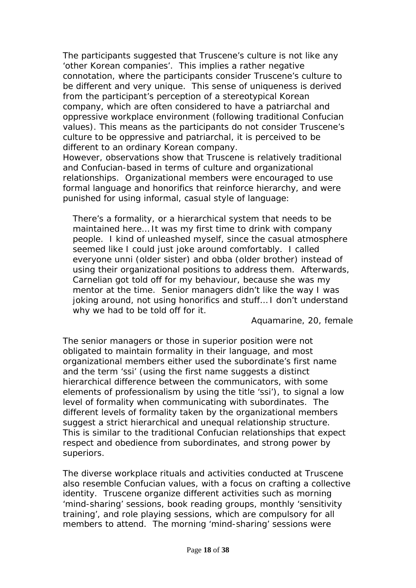The participants suggested that Truscene's culture is not like any '*other Korean companies'.* This implies a rather negative connotation, where the participants consider Truscene's culture to be different and very unique. This sense of uniqueness is derived from the participant's perception of a stereotypical Korean company, which are often considered to have a patriarchal and oppressive workplace environment (following traditional Confucian values). This means as the participants do not consider Truscene's culture to be oppressive and patriarchal, it is perceived to be different to an ordinary Korean company.

However, observations show that Truscene is relatively traditional and Confucian-based in terms of culture and organizational relationships. Organizational members were encouraged to use formal language and honorifics that reinforce hierarchy, and were punished for using informal, casual style of language:

*There's a formality, or a hierarchical system that needs to be maintained here… It was my first time to drink with company people. I kind of unleashed myself, since the casual atmosphere seemed like I could just joke around comfortably. I called everyone unni (older sister) and obba (older brother) instead of using their organizational positions to address them. Afterwards, Carnelian got told off for my behaviour, because she was my mentor at the time. Senior managers didn't like the way I was joking around, not using honorifics and stuff… I don't understand why we had to be told off for it.*

Aquamarine, 20, female

The senior managers or those in superior position were not obligated to maintain formality in their language, and most organizational members either used the subordinate's first name and the term 'ssi' (using the first name suggests a distinct hierarchical difference between the communicators, with some elements of professionalism by using the title 'ssi'), to signal a low level of formality when communicating with subordinates. The different levels of formality taken by the organizational members suggest a strict hierarchical and unequal relationship structure. This is similar to the traditional Confucian relationships that expect respect and obedience from subordinates, and strong power by superiors.

The diverse workplace rituals and activities conducted at Truscene also resemble Confucian values, with a focus on crafting a collective identity. Truscene organize different activities such as morning 'mind-sharing' sessions, book reading groups, monthly 'sensitivity training', and role playing sessions, which are compulsory for all members to attend. The morning 'mind-sharing' sessions were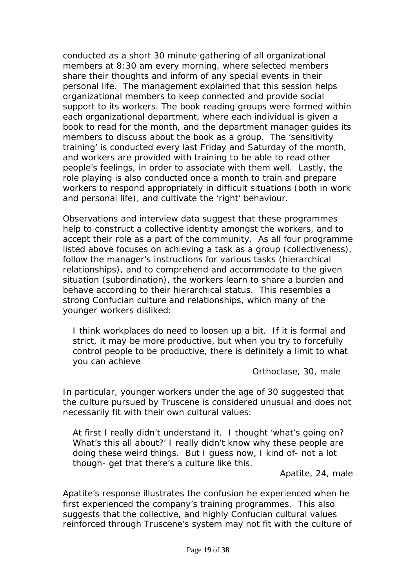conducted as a short 30 minute gathering of all organizational members at 8:30 am every morning, where selected members share their thoughts and inform of any special events in their personal life. The management explained that this session helps organizational members to keep connected and provide social support to its workers. The book reading groups were formed within each organizational department, where each individual is given a book to read for the month, and the department manager guides its members to discuss about the book as a group. The 'sensitivity training' is conducted every last Friday and Saturday of the month, and workers are provided with training to be able to read other people's feelings, in order to associate with them well. Lastly, the role playing is also conducted once a month to train and prepare workers to respond appropriately in difficult situations (both in work and personal life), and cultivate the 'right' behaviour.

Observations and interview data suggest that these programmes help to construct a collective identity amongst the workers, and to accept their role as a part of the community. As all four programme listed above focuses on achieving a task as a group (collectiveness), follow the manager's instructions for various tasks (hierarchical relationships), and to comprehend and accommodate to the given situation (subordination), the workers learn to share a burden and behave according to their hierarchical status. This resembles a strong Confucian culture and relationships, which many of the younger workers disliked:

*I think workplaces do need to loosen up a bit. If it is formal and strict, it may be more productive, but when you try to forcefully control people to be productive, there is definitely a limit to what you can achieve*

Orthoclase, 30, male

In particular, younger workers under the age of 30 suggested that the culture pursued by Truscene is considered unusual and does not necessarily fit with their own cultural values:

*At first I really didn't understand it. I thought 'what's going on? What's this all about?' I really didn't know why these people are doing these weird things. But I guess now, I kind of- not a lot though- get that there's a culture like this.* 

Apatite, 24, male

Apatite's response illustrates the confusion he experienced when he first experienced the company's training programmes. This also suggests that the collective, and highly Confucian cultural values reinforced through Truscene's system may not fit with the culture of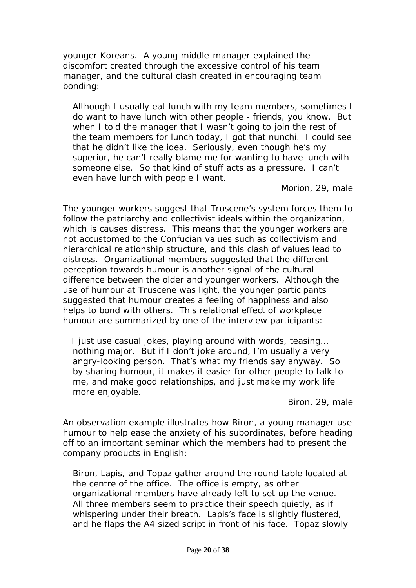younger Koreans. A young middle-manager explained the discomfort created through the excessive control of his team manager, and the cultural clash created in encouraging team bonding:

*Although I usually eat lunch with my team members, sometimes I do want to have lunch with other people - friends, you know. But when I told the manager that I wasn't going to join the rest of the team members for lunch today, I got that nunchi. I could see that he didn't like the idea. Seriously, even though he's my superior, he can't really blame me for wanting to have lunch with someone else. So that kind of stuff acts as a pressure. I can't even have lunch with people I want.*

Morion, 29, male

The younger workers suggest that Truscene's system forces them to follow the patriarchy and collectivist ideals within the organization, which is causes distress. This means that the younger workers are not accustomed to the Confucian values such as collectivism and hierarchical relationship structure, and this clash of values lead to distress. Organizational members suggested that the different perception towards humour is another signal of the cultural difference between the older and younger workers. Although the use of humour at Truscene was light, the younger participants suggested that humour creates a feeling of happiness and also helps to bond with others. This relational effect of workplace humour are summarized by one of the interview participants:

 *I just use casual jokes, playing around with words, teasing… nothing major. But if I don't joke around, I'm usually a very angry-looking person. That's what my friends say anyway. So by sharing humour, it makes it easier for other people to talk to me, and make good relationships, and just make my work life more enjoyable.* 

Biron, 29, male

An observation example illustrates how Biron, a young manager use humour to help ease the anxiety of his subordinates, before heading off to an important seminar which the members had to present the company products in English:

*Biron, Lapis, and Topaz gather around the round table located at the centre of the office. The office is empty, as other organizational members have already left to set up the venue. All three members seem to practice their speech quietly, as if whispering under their breath. Lapis's face is slightly flustered, and he flaps the A4 sized script in front of his face. Topaz slowly*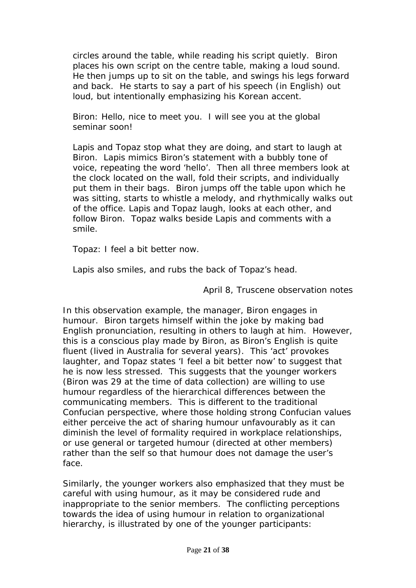*circles around the table, while reading his script quietly. Biron places his own script on the centre table, making a loud sound. He then jumps up to sit on the table, and swings his legs forward and back. He starts to say a part of his speech (in English) out loud, but intentionally emphasizing his Korean accent.*

*Biron: Hello, nice to meet you. I will see you at the global seminar soon!*

*Lapis and Topaz stop what they are doing, and start to laugh at Biron. Lapis mimics Biron's statement with a bubbly tone of voice, repeating the word 'hello'. Then all three members look at the clock located on the wall, fold their scripts, and individually put them in their bags. Biron jumps off the table upon which he was sitting, starts to whistle a melody, and rhythmically walks out of the office. Lapis and Topaz laugh, looks at each other, and follow Biron. Topaz walks beside Lapis and comments with a smile.*

*Topaz: I feel a bit better now.*

*Lapis also smiles, and rubs the back of Topaz's head.*

April 8, Truscene observation notes

In this observation example, the manager, Biron engages in humour. Biron targets himself within the joke by making bad English pronunciation, resulting in others to laugh at him. However, this is a conscious play made by Biron, as Biron's English is quite fluent (lived in Australia for several years). This 'act' provokes laughter, and Topaz states '*I feel a bit better now'* to suggest that he is now less stressed. This suggests that the younger workers (Biron was 29 at the time of data collection) are willing to use humour regardless of the hierarchical differences between the communicating members. This is different to the traditional Confucian perspective, where those holding strong Confucian values either perceive the act of sharing humour unfavourably as it can diminish the level of formality required in workplace relationships, or use general or targeted humour (directed at other members) rather than the self so that humour does not damage the user's face.

Similarly, the younger workers also emphasized that they must be careful with using humour, as it may be considered rude and inappropriate to the senior members. The conflicting perceptions towards the idea of using humour in relation to organizational hierarchy, is illustrated by one of the younger participants: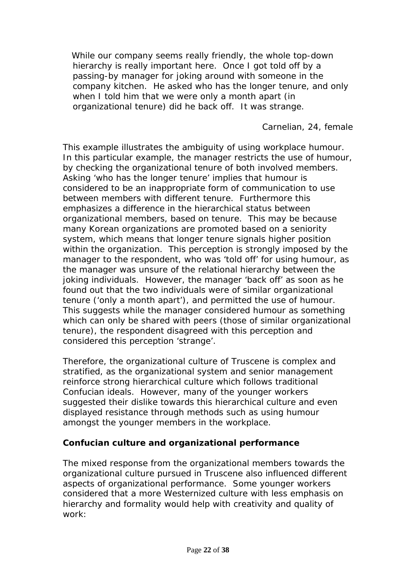*While our company seems really friendly, the whole top-down hierarchy is really important here. Once I got told off by a passing-by manager for joking around with someone in the company kitchen. He asked who has the longer tenure, and only when I told him that we were only a month apart (in organizational tenure) did he back off. It was strange.*

Carnelian, 24, female

This example illustrates the ambiguity of using workplace humour. In this particular example, the manager restricts the use of humour, by checking the organizational tenure of both involved members. Asking '*who has the longer tenure'* implies that humour is considered to be an inappropriate form of communication to use between members with different tenure. Furthermore this emphasizes a difference in the hierarchical status between organizational members, based on tenure. This may be because many Korean organizations are promoted based on a seniority system, which means that longer tenure signals higher position within the organization. This perception is strongly imposed by the manager to the respondent, who was '*told off'* for using humour, as the manager was unsure of the relational hierarchy between the joking individuals. However, the manager '*back off*' as soon as he found out that the two individuals were of similar organizational tenure ('*only a month apart'),* and permitted the use of humour. This suggests while the manager considered humour as something which can only be shared with peers (those of similar organizational tenure), the respondent disagreed with this perception and considered this perception *'strange'.*

Therefore, the organizational culture of Truscene is complex and stratified, as the organizational system and senior management reinforce strong hierarchical culture which follows traditional Confucian ideals. However, many of the younger workers suggested their dislike towards this hierarchical culture and even displayed resistance through methods such as using humour amongst the younger members in the workplace.

#### **Confucian culture and organizational performance**

The mixed response from the organizational members towards the organizational culture pursued in Truscene also influenced different aspects of organizational performance. Some younger workers considered that a more Westernized culture with less emphasis on hierarchy and formality would help with creativity and quality of work: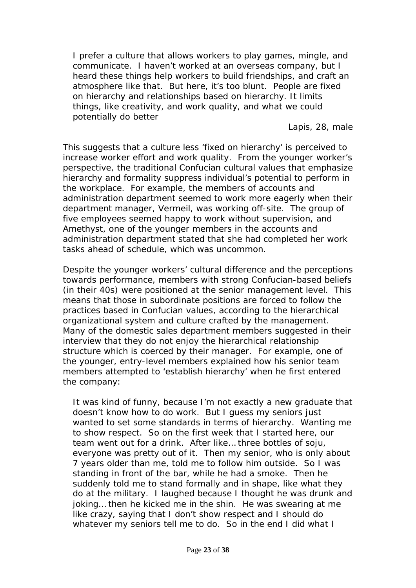*I prefer a culture that allows workers to play games, mingle, and communicate. I haven't worked at an overseas company, but I heard these things help workers to build friendships, and craft an atmosphere like that. But here, it's too blunt. People are fixed on hierarchy and relationships based on hierarchy. It limits things, like creativity, and work quality, and what we could potentially do better*

Lapis, 28, male

This suggests that a culture less '*fixed on hierarchy'* is perceived to increase worker effort and work quality. From the younger worker's perspective, the traditional Confucian cultural values that emphasize hierarchy and formality suppress individual's potential to perform in the workplace. For example, the members of accounts and administration department seemed to work more eagerly when their department manager, Vermeil, was working off-site. The group of five employees seemed happy to work without supervision, and Amethyst, one of the younger members in the accounts and administration department stated that she had completed her work tasks ahead of schedule, which was uncommon.

Despite the younger workers' cultural difference and the perceptions towards performance, members with strong Confucian-based beliefs (in their 40s) were positioned at the senior management level. This means that those in subordinate positions are forced to follow the practices based in Confucian values, according to the hierarchical organizational system and culture crafted by the management. Many of the domestic sales department members suggested in their interview that they do not enjoy the hierarchical relationship structure which is coerced by their manager. For example, one of the younger, entry-level members explained how his senior team members attempted to 'establish hierarchy' when he first entered the company:

*It was kind of funny, because I'm not exactly a new graduate that doesn't know how to do work. But I guess my seniors just wanted to set some standards in terms of hierarchy. Wanting me to show respect. So on the first week that I started here, our team went out for a drink. After like… three bottles of soju, everyone was pretty out of it. Then my senior, who is only about 7 years older than me, told me to follow him outside. So I was standing in front of the bar, while he had a smoke. Then he suddenly told me to stand formally and in shape, like what they do at the military. I laughed because I thought he was drunk and joking...* then he kicked me in the shin. He was swearing at me *like crazy, saying that I don't show respect and I should do whatever my seniors tell me to do. So in the end I did what I*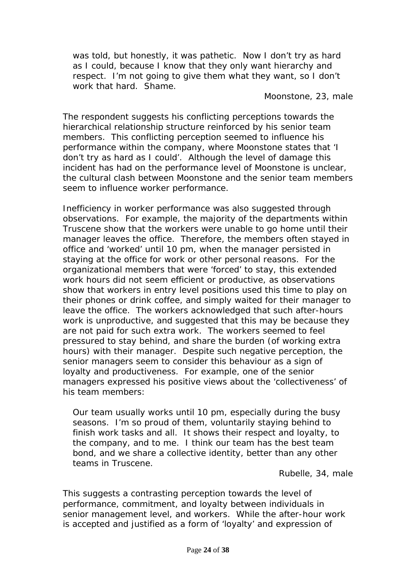*was told, but honestly, it was pathetic. Now I don't try as hard as I could, because I know that they only want hierarchy and respect. I'm not going to give them what they want, so I don't work that hard. Shame.*

Moonstone, 23, male

The respondent suggests his conflicting perceptions towards the hierarchical relationship structure reinforced by his senior team members. This conflicting perception seemed to influence his performance within the company, where Moonstone states that '*I don't try as hard as I could'*. Although the level of damage this incident has had on the performance level of Moonstone is unclear, the cultural clash between Moonstone and the senior team members seem to influence worker performance.

Inefficiency in worker performance was also suggested through observations. For example, the majority of the departments within Truscene show that the workers were unable to go home until their manager leaves the office. Therefore, the members often stayed in office and 'worked' until 10 pm, when the manager persisted in staying at the office for work or other personal reasons. For the organizational members that were 'forced' to stay, this extended work hours did not seem efficient or productive, as observations show that workers in entry level positions used this time to play on their phones or drink coffee, and simply waited for their manager to leave the office. The workers acknowledged that such after-hours work is unproductive, and suggested that this may be because they are not paid for such extra work. The workers seemed to feel pressured to stay behind, and share the burden (of working extra hours) with their manager. Despite such negative perception, the senior managers seem to consider this behaviour as a sign of loyalty and productiveness. For example, one of the senior managers expressed his positive views about the 'collectiveness' of his team members:

*Our team usually works until 10 pm, especially during the busy seasons. I'm so proud of them, voluntarily staying behind to finish work tasks and all. It shows their respect and loyalty, to the company, and to me. I think our team has the best team bond, and we share a collective identity, better than any other teams in Truscene.* 

Rubelle, 34, male

This suggests a contrasting perception towards the level of performance, commitment, and loyalty between individuals in senior management level, and workers. While the after-hour work is accepted and justified as a form of '*loyalty'* and expression of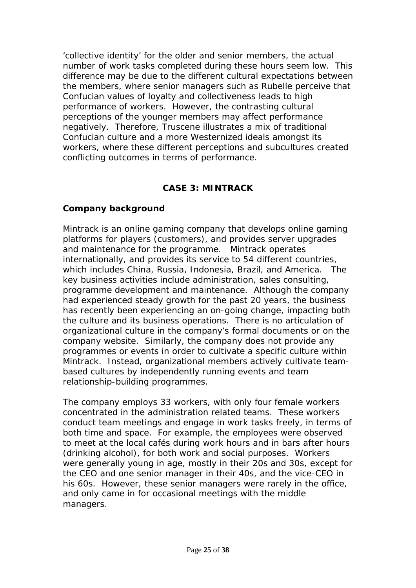'*collective identity'* for the older and senior members, the actual number of work tasks completed during these hours seem low. This difference may be due to the different cultural expectations between the members, where senior managers such as Rubelle perceive that Confucian values of loyalty and collectiveness leads to high performance of workers. However, the contrasting cultural perceptions of the younger members may affect performance negatively. Therefore, Truscene illustrates a mix of traditional Confucian culture and a more Westernized ideals amongst its workers, where these different perceptions and subcultures created conflicting outcomes in terms of performance.

# **CASE 3: MINTRACK**

## **Company background**

Mintrack is an online gaming company that develops online gaming platforms for players (customers), and provides server upgrades and maintenance for the programme. Mintrack operates internationally, and provides its service to 54 different countries, which includes China, Russia, Indonesia, Brazil, and America. The key business activities include administration, sales consulting, programme development and maintenance. Although the company had experienced steady growth for the past 20 years, the business has recently been experiencing an on-going change, impacting both the culture and its business operations. There is no articulation of organizational culture in the company's formal documents or on the company website. Similarly, the company does not provide any programmes or events in order to cultivate a specific culture within Mintrack. Instead, organizational members actively cultivate teambased cultures by independently running events and team relationship-building programmes.

The company employs 33 workers, with only four female workers concentrated in the administration related teams. These workers conduct team meetings and engage in work tasks freely, in terms of both time and space. For example, the employees were observed to meet at the local cafés during work hours and in bars after hours (drinking alcohol), for both work and social purposes. Workers were generally young in age, mostly in their 20s and 30s, except for the CEO and one senior manager in their 40s, and the vice-CEO in his 60s. However, these senior managers were rarely in the office, and only came in for occasional meetings with the middle managers.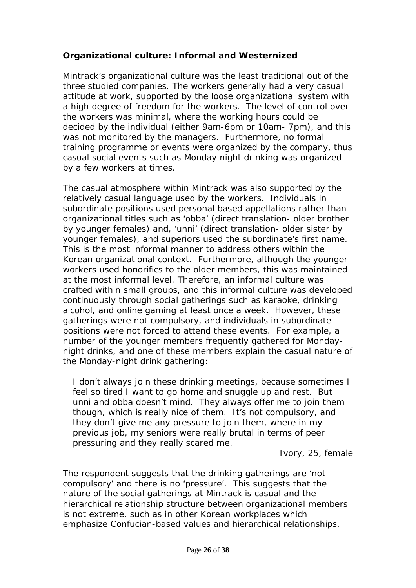# **Organizational culture: Informal and Westernized**

Mintrack's organizational culture was the least traditional out of the three studied companies. The workers generally had a very casual attitude at work, supported by the loose organizational system with a high degree of freedom for the workers. The level of control over the workers was minimal, where the working hours could be decided by the individual (either 9am-6pm or 10am- 7pm), and this was not monitored by the managers. Furthermore, no formal training programme or events were organized by the company, thus casual social events such as Monday night drinking was organized by a few workers at times.

The casual atmosphere within Mintrack was also supported by the relatively casual language used by the workers. Individuals in subordinate positions used personal based appellations rather than organizational titles such as 'obba' (direct translation- older brother by younger females) and, 'unni' (direct translation- older sister by younger females), and superiors used the subordinate's first name. This is the most informal manner to address others within the Korean organizational context. Furthermore, although the younger workers used honorifics to the older members, this was maintained at the most informal level. Therefore, an informal culture was crafted within small groups, and this informal culture was developed continuously through social gatherings such as karaoke, drinking alcohol, and online gaming at least once a week. However, these gatherings were not compulsory, and individuals in subordinate positions were not forced to attend these events. For example, a number of the younger members frequently gathered for Mondaynight drinks, and one of these members explain the casual nature of the Monday-night drink gathering:

*I don't always join these drinking meetings, because sometimes I feel so tired I want to go home and snuggle up and rest. But unni and obba doesn't mind. They always offer me to join them though, which is really nice of them. It's not compulsory, and they don't give me any pressure to join them, where in my previous job, my seniors were really brutal in terms of peer pressuring and they really scared me.*

Ivory, 25, female

The respondent suggests that the drinking gatherings are '*not compulsory*' and there is no '*pressure*'. This suggests that the nature of the social gatherings at Mintrack is casual and the hierarchical relationship structure between organizational members is not extreme, such as in other Korean workplaces which emphasize Confucian-based values and hierarchical relationships.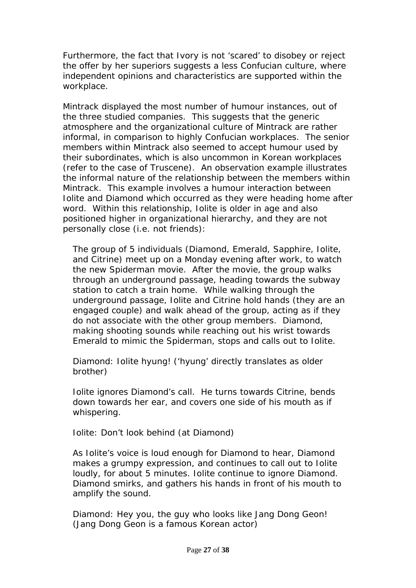Furthermore, the fact that Ivory is not '*scared'* to disobey or reject the offer by her superiors suggests a less Confucian culture, where independent opinions and characteristics are supported within the workplace.

Mintrack displayed the most number of humour instances, out of the three studied companies. This suggests that the generic atmosphere and the organizational culture of Mintrack are rather informal, in comparison to highly Confucian workplaces. The senior members within Mintrack also seemed to accept humour used by their subordinates, which is also uncommon in Korean workplaces (refer to the case of Truscene). An observation example illustrates the informal nature of the relationship between the members within Mintrack. This example involves a humour interaction between Iolite and Diamond which occurred as they were heading home after word. Within this relationship, Iolite is older in age and also positioned higher in organizational hierarchy, and they are not personally close (i.e. not friends):

*The group of 5 individuals (Diamond, Emerald, Sapphire, Iolite, and Citrine) meet up on a Monday evening after work, to watch the new Spiderman movie. After the movie, the group walks through an underground passage, heading towards the subway station to catch a train home. While walking through the underground passage, Iolite and Citrine hold hands (they are an engaged couple) and walk ahead of the group, acting as if they do not associate with the other group members. Diamond, making shooting sounds while reaching out his wrist towards Emerald to mimic the Spiderman, stops and calls out to Iolite.* 

*Diamond: Iolite hyung! ('hyung' directly translates as older brother)*

*Iolite ignores Diamond's call. He turns towards Citrine, bends down towards her ear, and covers one side of his mouth as if whispering.*

*Iolite: Don't look behind (at Diamond)*

*As Iolite's voice is loud enough for Diamond to hear, Diamond makes a grumpy expression, and continues to call out to Iolite loudly, for about 5 minutes. Iolite continue to ignore Diamond. Diamond smirks, and gathers his hands in front of his mouth to amplify the sound.*

*Diamond: Hey you, the guy who looks like Jang Dong Geon! (Jang Dong Geon is a famous Korean actor)*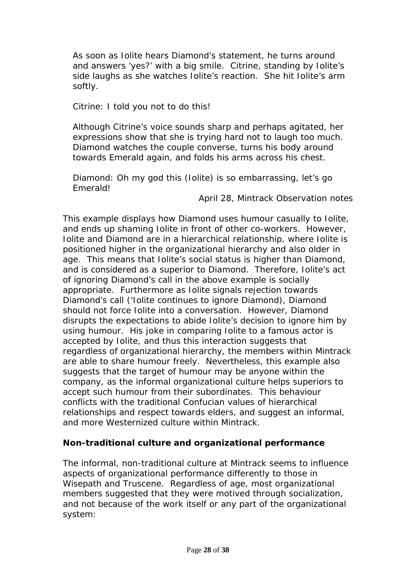*As soon as Iolite hears Diamond's statement, he turns around and answers 'yes?' with a big smile. Citrine, standing by Iolite's side laughs as she watches Iolite's reaction. She hit Iolite's arm softly.*

## *Citrine: I told you not to do this!*

*Although Citrine's voice sounds sharp and perhaps agitated, her expressions show that she is trying hard not to laugh too much. Diamond watches the couple converse, turns his body around towards Emerald again, and folds his arms across his chest.*

#### *Diamond: Oh my god this (Iolite) is so embarrassing, let's go Emerald!*

April 28, Mintrack Observation notes

This example displays how Diamond uses humour casually to Iolite, and ends up shaming Iolite in front of other co-workers. However, Iolite and Diamond are in a hierarchical relationship, where Iolite is positioned higher in the organizational hierarchy and also older in age. This means that Iolite's social status is higher than Diamond, and is considered as a superior to Diamond. Therefore, Iolite's act of ignoring Diamond's call in the above example is socially appropriate. Furthermore as Iolite signals rejection towards Diamond's call ('*Iolite continues to ignore Diamond)*, Diamond should not force Iolite into a conversation. However, Diamond disrupts the expectations to abide Iolite's decision to ignore him by using humour. His joke in comparing Iolite to a famous actor is accepted by Iolite, and thus this interaction suggests that regardless of organizational hierarchy, the members within Mintrack are able to share humour freely. Nevertheless, this example also suggests that the target of humour may be anyone within the company, as the informal organizational culture helps superiors to accept such humour from their subordinates. This behaviour conflicts with the traditional Confucian values of hierarchical relationships and respect towards elders, and suggest an informal, and more Westernized culture within Mintrack.

# **Non-traditional culture and organizational performance**

The informal, non-traditional culture at Mintrack seems to influence aspects of organizational performance differently to those in Wisepath and Truscene. Regardless of age, most organizational members suggested that they were motived through socialization, and not because of the work itself or any part of the organizational system: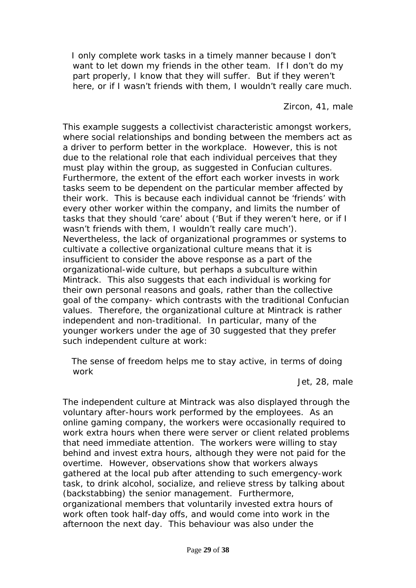*I only complete work tasks in a timely manner because I don't want to let down my friends in the other team. If I don't do my*  part properly, I know that they will suffer. But if they weren't *here, or if I wasn't friends with them, I wouldn't really care much.*

Zircon, 41, male

This example suggests a collectivist characteristic amongst workers, where social relationships and bonding between the members act as a driver to perform better in the workplace. However, this is not due to the relational role that each individual perceives that they must play within the group, as suggested in Confucian cultures. Furthermore, the extent of the effort each worker invests in work tasks seem to be dependent on the particular member affected by their work. This is because each individual cannot be '*friends'* with every other worker within the company, and limits the number of tasks that they should '*care'* about ('*But if they weren't here, or if I wasn't friends with them, I wouldn't really care much').* Nevertheless, the lack of organizational programmes or systems to cultivate a collective organizational culture means that it is insufficient to consider the above response as a part of the organizational-wide culture, but perhaps a subculture within Mintrack. This also suggests that each individual is working for their own personal reasons and goals, rather than the collective goal of the company- which contrasts with the traditional Confucian values. Therefore, the organizational culture at Mintrack is rather independent and non-traditional. In particular, many of the younger workers under the age of 30 suggested that they prefer such independent culture at work:

 *The sense of freedom helps me to stay active, in terms of doing work*

Jet, 28, male

The independent culture at Mintrack was also displayed through the voluntary after-hours work performed by the employees. As an online gaming company, the workers were occasionally required to work extra hours when there were server or client related problems that need immediate attention. The workers were willing to stay behind and invest extra hours, although they were not paid for the overtime. However, observations show that workers always gathered at the local pub after attending to such emergency-work task, to drink alcohol, socialize, and relieve stress by talking about (backstabbing) the senior management. Furthermore, organizational members that voluntarily invested extra hours of work often took half-day offs, and would come into work in the afternoon the next day. This behaviour was also under the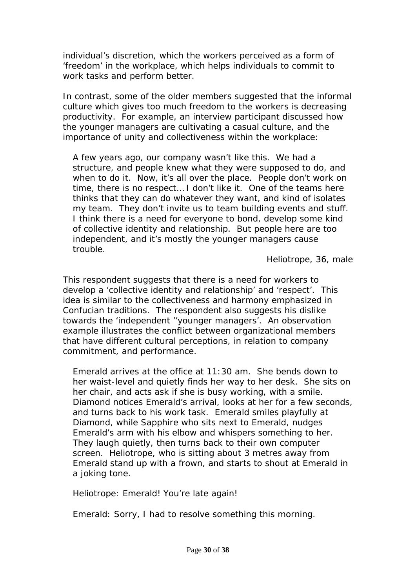individual's discretion, which the workers perceived as a form of '*freedom'* in the workplace, which helps individuals to commit to work tasks and perform better.

In contrast, some of the older members suggested that the informal culture which gives too much freedom to the workers is decreasing productivity. For example, an interview participant discussed how the younger managers are cultivating a casual culture, and the importance of unity and collectiveness within the workplace:

*A few years ago, our company wasn't like this. We had a structure, and people knew what they were supposed to do, and when to do it. Now, it's all over the place. People don't work on time, there is no respect… I don't like it. One of the teams here thinks that they can do whatever they want, and kind of isolates my team. They don't invite us to team building events and stuff. I think there is a need for everyone to bond, develop some kind of collective identity and relationship. But people here are too independent, and it's mostly the younger managers cause trouble.*

Heliotrope, 36, male

This respondent suggests that there is a need for workers to develop a '*collective identity and relationship'* and '*respect'.* This idea is similar to the collectiveness and harmony emphasized in Confucian traditions. The respondent also suggests his dislike towards the '*independent ''younger managers'.* An observation example illustrates the conflict between organizational members that have different cultural perceptions, in relation to company commitment, and performance.

*Emerald arrives at the office at 11:30 am. She bends down to her waist-level and quietly finds her way to her desk. She sits on her chair, and acts ask if she is busy working, with a smile. Diamond notices Emerald's arrival, looks at her for a few seconds, and turns back to his work task. Emerald smiles playfully at Diamond, while Sapphire who sits next to Emerald, nudges Emerald's arm with his elbow and whispers something to her. They laugh quietly, then turns back to their own computer screen. Heliotrope, who is sitting about 3 metres away from Emerald stand up with a frown, and starts to shout at Emerald in a joking tone.*

*Heliotrope: Emerald! You're late again!*

*Emerald: Sorry, I had to resolve something this morning.*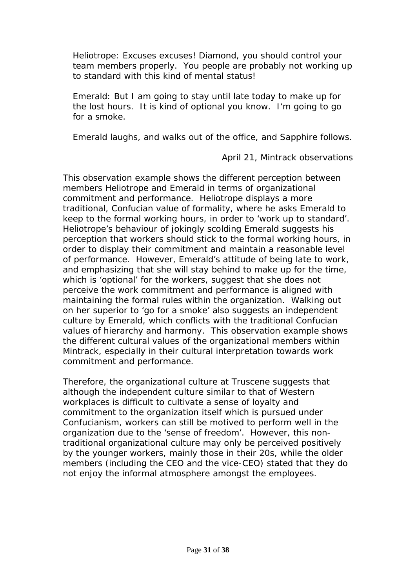*Heliotrope: Excuses excuses! Diamond, you should control your team members properly. You people are probably not working up to standard with this kind of mental status!*

*Emerald: But I am going to stay until late today to make up for the lost hours. It is kind of optional you know. I'm going to go for a smoke.*

*Emerald laughs, and walks out of the office, and Sapphire follows.*

April 21, Mintrack observations

This observation example shows the different perception between members Heliotrope and Emerald in terms of organizational commitment and performance. Heliotrope displays a more traditional, Confucian value of formality, where he asks Emerald to keep to the formal working hours, in order to '*work up to standard'.* Heliotrope's behaviour of jokingly scolding Emerald suggests his perception that workers should stick to the formal working hours, in order to display their commitment and maintain a reasonable level of performance. However, Emerald's attitude of being late to work, and emphasizing that she will stay behind to make up for the time, which is '*optional'* for the workers, suggest that she does not perceive the work commitment and performance is aligned with maintaining the formal rules within the organization. Walking out on her superior to '*go for a smoke'* also suggests an independent culture by Emerald, which conflicts with the traditional Confucian values of hierarchy and harmony. This observation example shows the different cultural values of the organizational members within Mintrack, especially in their cultural interpretation towards work commitment and performance.

Therefore, the organizational culture at Truscene suggests that although the independent culture similar to that of Western workplaces is difficult to cultivate a sense of loyalty and commitment to the organization itself which is pursued under Confucianism, workers can still be motived to perform well in the organization due to the '*sense of freedom'*. However, this nontraditional organizational culture may only be perceived positively by the younger workers, mainly those in their 20s, while the older members (including the CEO and the vice-CEO) stated that they do not enjoy the informal atmosphere amongst the employees.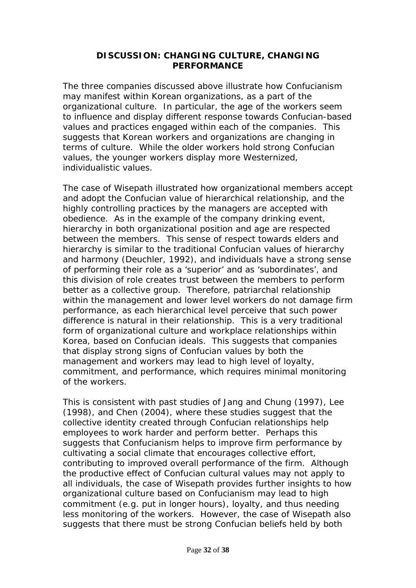#### **DISCUSSION: CHANGING CULTURE, CHANGING PERFORMANCE**

The three companies discussed above illustrate how Confucianism may manifest within Korean organizations, as a part of the organizational culture. In particular, the age of the workers seem to influence and display different response towards Confucian-based values and practices engaged within each of the companies. This suggests that Korean workers and organizations are changing in terms of culture. While the older workers hold strong Confucian values, the younger workers display more Westernized, individualistic values.

The case of Wisepath illustrated how organizational members accept and adopt the Confucian value of hierarchical relationship, and the highly controlling practices by the managers are accepted with obedience. As in the example of the company drinking event, hierarchy in both organizational position and age are respected between the members. This sense of respect towards elders and hierarchy is similar to the traditional Confucian values of hierarchy and harmony (Deuchler, 1992), and individuals have a strong sense of performing their role as a 'superior' and as 'subordinates', and this division of role creates trust between the members to perform better as a collective group. Therefore, patriarchal relationship within the management and lower level workers do not damage firm performance, as each hierarchical level perceive that such power difference is natural in their relationship. This is a very traditional form of organizational culture and workplace relationships within Korea, based on Confucian ideals. This suggests that companies that display strong signs of Confucian values by both the management and workers may lead to high level of loyalty, commitment, and performance, which requires minimal monitoring of the workers.

This is consistent with past studies of Jang and Chung (1997), Lee (1998), and Chen (2004), where these studies suggest that the collective identity created through Confucian relationships help employees to work harder and perform better. Perhaps this suggests that Confucianism helps to improve firm performance by cultivating a social climate that encourages collective effort, contributing to improved overall performance of the firm. Although the productive effect of Confucian cultural values may not apply to all individuals, the case of Wisepath provides further insights to how organizational culture based on Confucianism may lead to high commitment (e.g. put in longer hours), loyalty, and thus needing less monitoring of the workers. However, the case of Wisepath also suggests that there must be strong Confucian beliefs held by both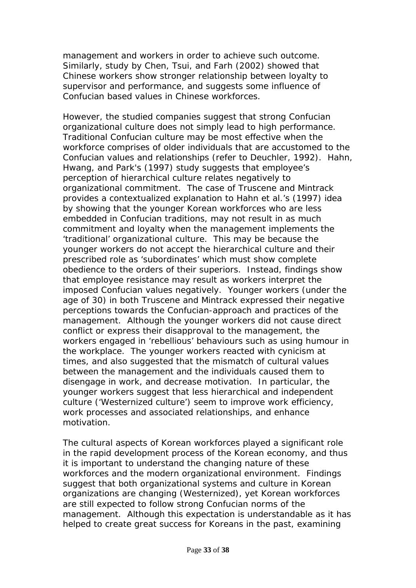management and workers in order to achieve such outcome. Similarly, study by Chen, Tsui, and Farh (2002) showed that Chinese workers show stronger relationship between loyalty to supervisor and performance, and suggests some influence of Confucian based values in Chinese workforces.

However, the studied companies suggest that strong Confucian organizational culture does not simply lead to high performance. Traditional Confucian culture may be most effective when the workforce comprises of older individuals that are accustomed to the Confucian values and relationships (refer to Deuchler, 1992). Hahn, Hwang, and Park's (1997) study suggests that employee's perception of hierarchical culture relates negatively to organizational commitment. The case of Truscene and Mintrack provides a contextualized explanation to Hahn et al.'s (1997) idea by showing that the younger Korean workforces who are less embedded in Confucian traditions, may not result in as much commitment and loyalty when the management implements the 'traditional' organizational culture. This may be because the younger workers do not accept the hierarchical culture and their prescribed role as 'subordinates' which must show complete obedience to the orders of their superiors. Instead, findings show that employee resistance may result as workers interpret the imposed Confucian values negatively. Younger workers (under the age of 30) in both Truscene and Mintrack expressed their negative perceptions towards the Confucian-approach and practices of the management. Although the younger workers did not cause direct conflict or express their disapproval to the management, the workers engaged in 'rebellious' behaviours such as using humour in the workplace. The younger workers reacted with cynicism at times, and also suggested that the mismatch of cultural values between the management and the individuals caused them to disengage in work, and decrease motivation. In particular, the younger workers suggest that less hierarchical and independent culture ('*Westernized culture'*) seem to improve work efficiency, work processes and associated relationships, and enhance motivation.

The cultural aspects of Korean workforces played a significant role in the rapid development process of the Korean economy, and thus it is important to understand the changing nature of these workforces and the modern organizational environment. Findings suggest that both organizational systems and culture in Korean organizations are changing (Westernized), yet Korean workforces are still expected to follow strong Confucian norms of the management. Although this expectation is understandable as it has helped to create great success for Koreans in the past, examining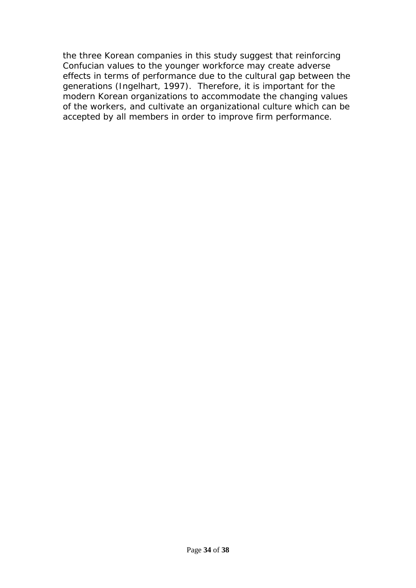the three Korean companies in this study suggest that reinforcing Confucian values to the younger workforce may create adverse effects in terms of performance due to the cultural gap between the generations (Ingelhart, 1997). Therefore, it is important for the modern Korean organizations to accommodate the changing values of the workers, and cultivate an organizational culture which can be accepted by all members in order to improve firm performance.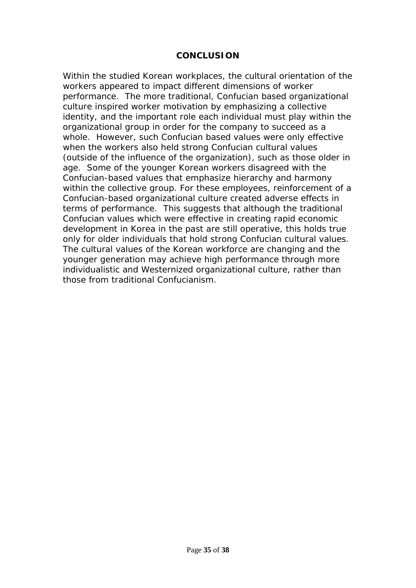#### **CONCLUSION**

Within the studied Korean workplaces, the cultural orientation of the workers appeared to impact different dimensions of worker performance. The more traditional, Confucian based organizational culture inspired worker motivation by emphasizing a collective identity, and the important role each individual must play within the organizational group in order for the company to succeed as a whole. However, such Confucian based values were only effective when the workers also held strong Confucian cultural values (outside of the influence of the organization), such as those older in age. Some of the younger Korean workers disagreed with the Confucian-based values that emphasize hierarchy and harmony within the collective group. For these employees, reinforcement of a Confucian-based organizational culture created adverse effects in terms of performance. This suggests that although the traditional Confucian values which were effective in creating rapid economic development in Korea in the past are still operative, this holds true only for older individuals that hold strong Confucian cultural values. The cultural values of the Korean workforce are changing and the younger generation may achieve high performance through more individualistic and Westernized organizational culture, rather than those from traditional Confucianism.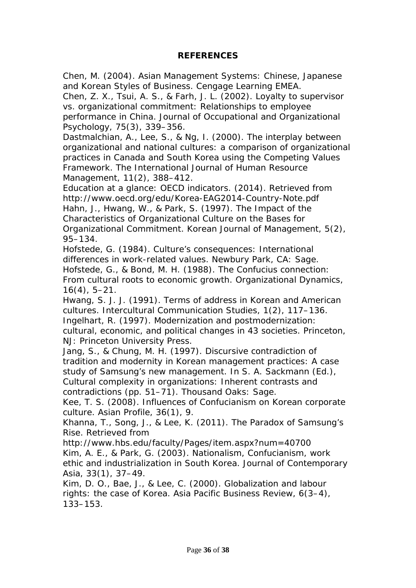#### **REFERENCES**

Chen, M. (2004). *Asian Management Systems: Chinese, Japanese and Korean Styles of Business*. Cengage Learning EMEA.

Chen, Z. X., Tsui, A. S., & Farh, J. L. (2002). Loyalty to supervisor vs. organizational commitment: Relationships to employee performance in China. *Journal of Occupational and Organizational Psychology*, *75*(3), 339–356.

Dastmalchian, A., Lee, S., & Ng, I. (2000). The interplay between organizational and national cultures: a comparison of organizational practices in Canada and South Korea using the Competing Values Framework. *The International Journal of Human Resource Management*, *11*(2), 388–412.

Education at a glance: OECD indicators. (2014). Retrieved from http://www.oecd.org/edu/Korea-EAG2014-Country-Note.pdf Hahn, J., Hwang, W., & Park, S. (1997). The Impact of the Characteristics of Organizational Culture on the Bases for Organizational Commitment. *Korean Journal of Management*, *5*(2), 95–134.

Hofstede, G. (1984). *Culture's consequences: International differences in work-related values*. Newbury Park, CA: Sage. Hofstede, G., & Bond, M. H. (1988). The Confucius connection: From cultural roots to economic growth. *Organizational Dynamics*, *16*(4), 5–21.

Hwang, S. J. J. (1991). Terms of address in Korean and American cultures. *Intercultural Communication Studies*, *1*(2), 117–136. Ingelhart, R. (1997). *Modernization and postmodernization: cultural, economic, and political changes in 43 societies*. Princeton, NJ: Princeton University Press.

Jang, S., & Chung, M. H. (1997). Discursive contradiction of tradition and modernity in Korean management practices: A case study of Samsung's new management. In S. A. Sackmann (Ed.), *Cultural complexity in organizations: Inherent contrasts and contradictions* (pp. 51–71). Thousand Oaks: Sage.

Kee, T. S. (2008). Influences of Confucianism on Korean corporate culture. *Asian Profile*, *36*(1), 9.

Khanna, T., Song, J., & Lee, K. (2011). The Paradox of Samsung's Rise. Retrieved from

http://www.hbs.edu/faculty/Pages/item.aspx?num=40700 Kim, A. E., & Park, G. (2003). Nationalism, Confucianism, work ethic and industrialization in South Korea. *Journal of Contemporary Asia*, *33*(1), 37–49.

Kim, D. O., Bae, J., & Lee, C. (2000). Globalization and labour rights: the case of Korea. *Asia Pacific Business Review*, *6*(3–4), 133–153.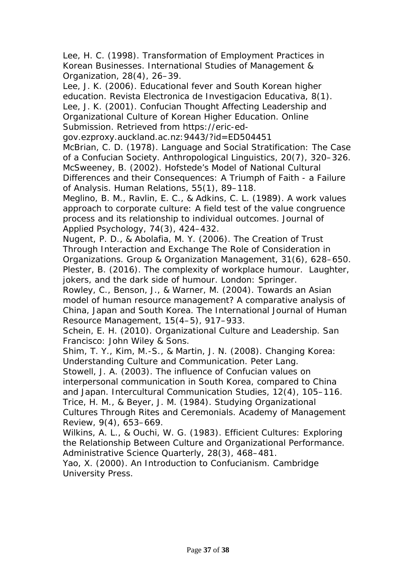Lee, H. C. (1998). Transformation of Employment Practices in Korean Businesses. *International Studies of Management & Organization*, *28*(4), 26–39.

Lee, J. K. (2006). Educational fever and South Korean higher education. *Revista Electronica de Investigacion Educativa*, *8*(1). Lee, J. K. (2001). Confucian Thought Affecting Leadership and Organizational Culture of Korean Higher Education. *Online Submission*. Retrieved from https://eric-ed-

gov.ezproxy.auckland.ac.nz:9443/?id=ED504451

McBrian, C. D. (1978). Language and Social Stratification: The Case of a Confucian Society. *Anthropological Linguistics*, *20*(7), 320–326. McSweeney, B. (2002). Hofstede's Model of National Cultural

Differences and their Consequences: A Triumph of Faith - a Failure of Analysis. *Human Relations*, *55*(1), 89–118.

Meglino, B. M., Ravlin, E. C., & Adkins, C. L. (1989). A work values approach to corporate culture: A field test of the value congruence process and its relationship to individual outcomes. *Journal of Applied Psychology*, *74*(3), 424–432.

Nugent, P. D., & Abolafia, M. Y. (2006). The Creation of Trust Through Interaction and Exchange The Role of Consideration in Organizations. *Group & Organization Management*, *31*(6), 628–650. Plester, B. (2016). *The complexity of workplace humour. Laughter, jokers, and the dark side of humour.* London: Springer.

Rowley, C., Benson, J., & Warner, M. (2004). Towards an Asian model of human resource management? A comparative analysis of China, Japan and South Korea. *The International Journal of Human Resource Management*, *15*(4–5), 917–933.

Schein, E. H. (2010). *Organizational Culture and Leadership*. San Francisco: John Wiley & Sons.

Shim, T. Y., Kim, M.-S., & Martin, J. N. (2008). *Changing Korea: Understanding Culture and Communication*. Peter Lang.

Stowell, J. A. (2003). The influence of Confucian values on interpersonal communication in South Korea, compared to China and Japan. *Intercultural Communication Studies*, *12*(4), 105–116. Trice, H. M., & Beyer, J. M. (1984). Studying Organizational

Cultures Through Rites and Ceremonials. *Academy of Management Review*, *9*(4), 653–669.

Wilkins, A. L., & Ouchi, W. G. (1983). Efficient Cultures: Exploring the Relationship Between Culture and Organizational Performance. *Administrative Science Quarterly*, *28*(3), 468–481.

Yao, X. (2000). *An Introduction to Confucianism*. Cambridge University Press.